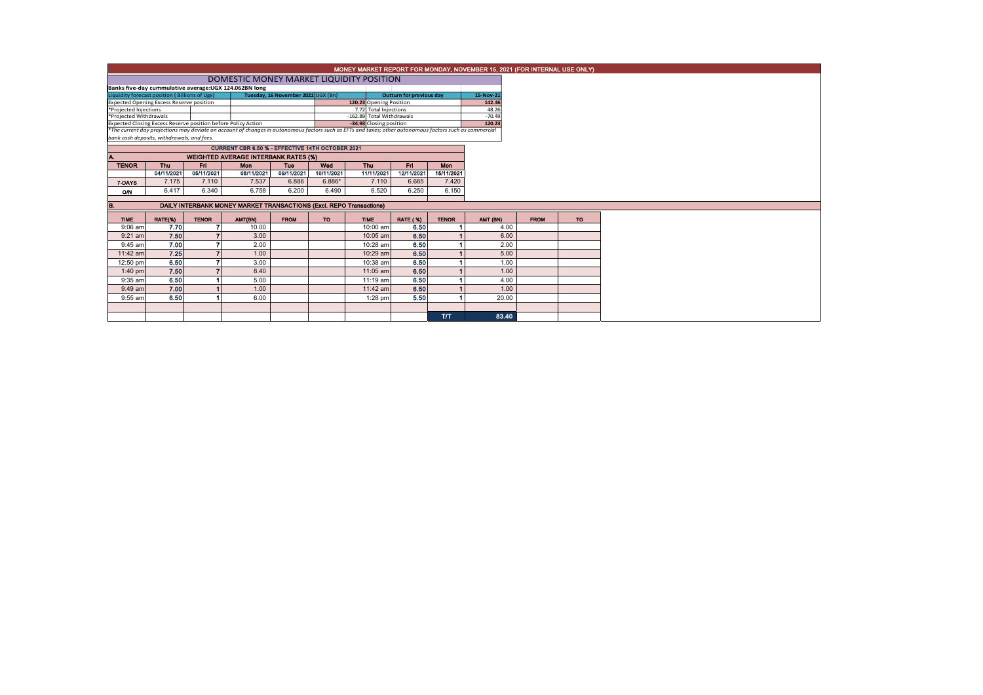|                                                                                         | MONEY MARKET REPORT FOR MONDAY, NOVEMBER 15, 2021 (FOR INTERNAL USE ONLY) |              |                                                                                                                                                          |             |                         |                           |                 |              |          |             |     |  |  |
|-----------------------------------------------------------------------------------------|---------------------------------------------------------------------------|--------------|----------------------------------------------------------------------------------------------------------------------------------------------------------|-------------|-------------------------|---------------------------|-----------------|--------------|----------|-------------|-----|--|--|
|                                                                                         |                                                                           |              |                                                                                                                                                          |             |                         |                           |                 |              |          |             |     |  |  |
| Banks five-day cummulative average: UGX 124.062BN long                                  |                                                                           |              |                                                                                                                                                          |             |                         |                           |                 |              |          |             |     |  |  |
| Liquidity forecast position (Billions of Ugx)                                           | 15-Nov-21                                                                 |              |                                                                                                                                                          |             |                         |                           |                 |              |          |             |     |  |  |
|                                                                                         | <b>Expected Opening Excess Reserve position</b>                           |              |                                                                                                                                                          |             | 120.23 Opening Position |                           |                 | 142.46       |          |             |     |  |  |
| *Projected Injections<br>7.72 Total Injections                                          |                                                                           |              |                                                                                                                                                          |             |                         |                           |                 |              | 48.26    |             |     |  |  |
| *Projected Withdrawals<br>Expected Closing Excess Reserve position before Policy Action |                                                                           |              |                                                                                                                                                          |             |                         | -162.89 Total Withdrawals |                 |              | $-70.49$ |             |     |  |  |
|                                                                                         |                                                                           |              | *The current day projections may deviate on account of changes in autonomous factors such as EFTs and taxes; other autonomous factors such as commercial |             | -34.93 Closing position |                           |                 | 120.23       |          |             |     |  |  |
| bank cash deposits, withdrawals, and fees.                                              |                                                                           |              |                                                                                                                                                          |             |                         |                           |                 |              |          |             |     |  |  |
|                                                                                         |                                                                           |              | <b>CURRENT CBR 6.50 % - EFFECTIVE 14TH OCTOBER 2021</b>                                                                                                  |             |                         |                           |                 |              |          |             |     |  |  |
|                                                                                         |                                                                           |              | <b>WEIGHTED AVERAGE INTERBANK RATES (%)</b>                                                                                                              |             |                         |                           |                 |              |          |             |     |  |  |
| <b>TENOR</b>                                                                            | <b>Thu</b>                                                                | <b>Fri</b>   | <b>Mon</b>                                                                                                                                               | Tue         | Wed                     | Thu                       | Fri.            | Mon          |          |             |     |  |  |
|                                                                                         | 04/11/2021                                                                | 05/11/2021   | 08/11/2021                                                                                                                                               | 09/11/2021  | 10/11/2021              | 11/11/2021                | 12/11/2021      | 15/11/2021   |          |             |     |  |  |
| 7-DAYS                                                                                  | 7.175                                                                     | 7.110        | 7.537                                                                                                                                                    | 6.886       | $6.886*$                | 7.110                     | 6.665           | 7.420        |          |             |     |  |  |
| ON                                                                                      | 6.417                                                                     | 6.340        | 6.758                                                                                                                                                    | 6.200       | 6.490                   | 6.520                     | 6.250           | 6.150        |          |             |     |  |  |
|                                                                                         |                                                                           |              |                                                                                                                                                          |             |                         |                           |                 |              |          |             |     |  |  |
| B.                                                                                      |                                                                           |              | <b>DAILY INTERBANK MONEY MARKET TRANSACTIONS (Excl. REPO Transactions)</b>                                                                               |             |                         |                           |                 |              |          |             |     |  |  |
| <b>TIME</b>                                                                             | RATE(%)                                                                   | <b>TENOR</b> | AMT(BN)                                                                                                                                                  | <b>FROM</b> | <b>TO</b>               | <b>TIME</b>               | <b>RATE (%)</b> | <b>TENOR</b> | AMT (BN) | <b>FROM</b> | TO: |  |  |
| $9:06$ am                                                                               | 7.70                                                                      | 7            | 10.00                                                                                                                                                    |             |                         | 10:00 am                  | 6.50            |              | 4.00     |             |     |  |  |
| $9:21$ am                                                                               | 7.50                                                                      |              | 3.00                                                                                                                                                     |             |                         | 10:05 am                  | 6.50            |              | 6.00     |             |     |  |  |
| $9:45$ am                                                                               | 7.00                                                                      |              | 2.00                                                                                                                                                     |             |                         | 10:28 am                  | 6.50            |              | 2.00     |             |     |  |  |
| 11:42 am                                                                                | 7.25                                                                      |              | 1.00                                                                                                                                                     |             |                         | 10:29 am                  | 6.50            |              | 5.00     |             |     |  |  |
| 12:50 pm                                                                                | 6.50                                                                      |              | 3.00                                                                                                                                                     |             |                         | 10:38 am                  | 6.50            |              | 1.00     |             |     |  |  |
| $1:40$ pm                                                                               | 7.50                                                                      |              | 8.40                                                                                                                                                     |             |                         | $11:05$ am                | 6.50            |              | 1.00     |             |     |  |  |
| 9:35 am                                                                                 | 6.50                                                                      |              | 5.00                                                                                                                                                     |             |                         | 11:19 am                  | 6.50            |              | 4.00     |             |     |  |  |
| 9:49 am                                                                                 | 7.00                                                                      |              | 1.00                                                                                                                                                     |             |                         | 11:42 am                  | 6.50            |              | 1.00     |             |     |  |  |
| 9:55 am                                                                                 | 6.50                                                                      |              | 6.00                                                                                                                                                     |             |                         | 1:28 pm                   | 5.50            |              | 20.00    |             |     |  |  |
|                                                                                         |                                                                           |              |                                                                                                                                                          |             |                         |                           |                 |              |          |             |     |  |  |
|                                                                                         |                                                                           |              |                                                                                                                                                          |             |                         |                           |                 | TЛ           | 83.40    |             |     |  |  |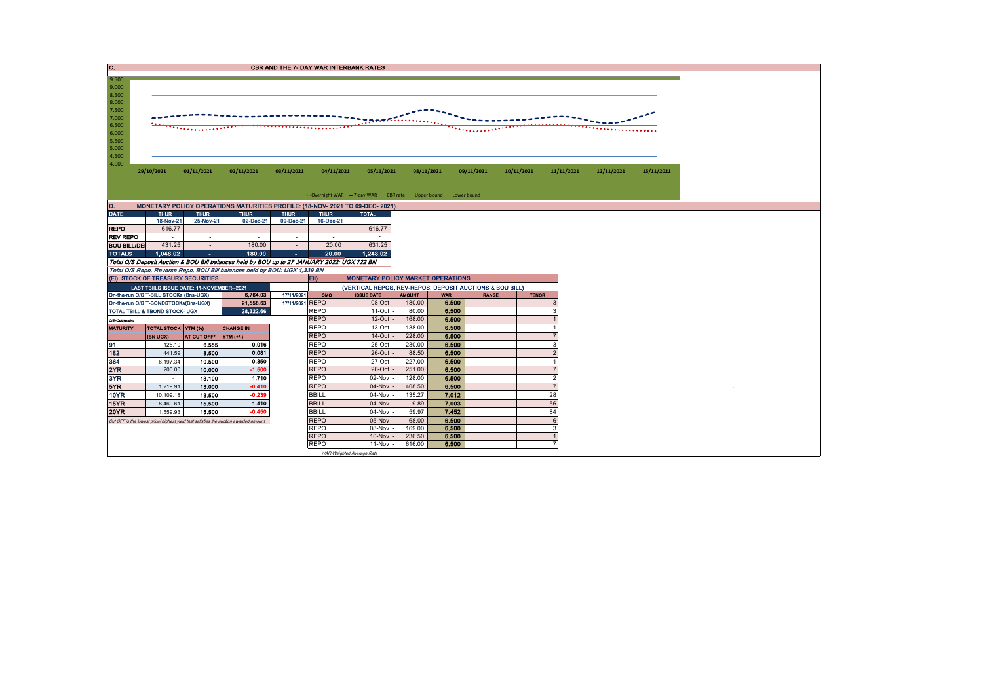| C.                                                                                |                                                                                       |                         |                                                                                                       |             |                                                          | <b>CBR AND THE 7- DAY WAR INTERBANK RATES</b>                     |                  |                |              |              |                |            |            |  |  |  |
|-----------------------------------------------------------------------------------|---------------------------------------------------------------------------------------|-------------------------|-------------------------------------------------------------------------------------------------------|-------------|----------------------------------------------------------|-------------------------------------------------------------------|------------------|----------------|--------------|--------------|----------------|------------|------------|--|--|--|
| 9.500<br>9.000                                                                    |                                                                                       |                         |                                                                                                       |             |                                                          |                                                                   |                  |                |              |              |                |            |            |  |  |  |
| 8.500                                                                             |                                                                                       |                         |                                                                                                       |             |                                                          |                                                                   |                  |                |              |              |                |            |            |  |  |  |
| 8.000                                                                             |                                                                                       |                         |                                                                                                       |             |                                                          |                                                                   |                  |                |              |              |                |            |            |  |  |  |
| 7.500<br>7.000                                                                    |                                                                                       |                         |                                                                                                       |             | 7555555555                                               |                                                                   |                  |                |              |              |                |            |            |  |  |  |
| 6.500                                                                             |                                                                                       |                         |                                                                                                       |             |                                                          |                                                                   |                  |                |              |              |                |            |            |  |  |  |
| 6.000<br>5.500                                                                    |                                                                                       |                         |                                                                                                       |             |                                                          |                                                                   |                  |                |              |              |                |            |            |  |  |  |
| 5.000                                                                             |                                                                                       |                         |                                                                                                       |             |                                                          |                                                                   |                  |                |              |              |                |            |            |  |  |  |
| 4.500                                                                             |                                                                                       |                         |                                                                                                       |             |                                                          |                                                                   |                  |                |              |              |                |            |            |  |  |  |
| 4.000                                                                             | 29/10/2021                                                                            | 01/11/2021              | 02/11/2021                                                                                            | 03/11/2021  | 04/11/2021                                               | 05/11/2021                                                        |                  | 08/11/2021     | 09/11/2021   | 10/11/2021   | 11/11/2021     | 12/11/2021 | 15/11/2021 |  |  |  |
|                                                                                   |                                                                                       |                         |                                                                                                       |             |                                                          |                                                                   |                  |                |              |              |                |            |            |  |  |  |
|                                                                                   |                                                                                       |                         |                                                                                                       |             |                                                          |                                                                   |                  |                |              |              |                |            |            |  |  |  |
|                                                                                   |                                                                                       |                         |                                                                                                       |             |                                                          | • Overnight WAR -7-day WAR - CBR rate - Upper bound - Lower bound |                  |                |              |              |                |            |            |  |  |  |
| D.<br><b>DATE</b>                                                                 | <b>THUR</b>                                                                           | <b>THUR</b>             | MONETARY POLICY OPERATIONS MATURITIES PROFILE: (18-NOV- 2021 TO 09-DEC- 2021)<br><b>THUR</b>          | <b>THUR</b> |                                                          |                                                                   |                  |                |              |              |                |            |            |  |  |  |
|                                                                                   | 18-Nov-21                                                                             | 25-Nov-21               | 02-Dec-21                                                                                             | 09-Dec-21   | <b>THUR</b><br>16-Dec-21                                 | <b>TOTAL</b>                                                      |                  |                |              |              |                |            |            |  |  |  |
| <b>REPO</b>                                                                       | 616.77                                                                                | $\sim$                  | $\sim$                                                                                                | $\sim$      | $\sim$                                                   | 616.77                                                            |                  |                |              |              |                |            |            |  |  |  |
| <b>REV REPO</b>                                                                   |                                                                                       | $\sim$                  | $\sim$                                                                                                | $\sim$      | $\sim$                                                   |                                                                   |                  |                |              |              |                |            |            |  |  |  |
| <b>BOU BILL/DEI</b>                                                               | 431.25                                                                                | $\sim$                  | 180.00                                                                                                | $\sim$      | 20.00                                                    | 631.25                                                            |                  |                |              |              |                |            |            |  |  |  |
| <b>TOTALS</b>                                                                     | 1.048.02                                                                              | $\sim$                  | 180.00<br>Total O/S Deposit Auction & BOU Bill balances held by BOU up to 27 JANUARY 2022: UGX 722 BN | $\sim$      | 20.00                                                    | 1,248.02                                                          |                  |                |              |              |                |            |            |  |  |  |
|                                                                                   |                                                                                       |                         | Total O/S Repo, Reverse Repo, BOU Bill balances held by BOU: UGX 1,339 BN                             |             |                                                          |                                                                   |                  |                |              |              |                |            |            |  |  |  |
|                                                                                   | (EI) STOCK OF TREASURY SECURITIES                                                     |                         |                                                                                                       |             | EII)                                                     | <b>MONETARY POLICY MARKET OPERATIONS</b>                          |                  |                |              |              |                |            |            |  |  |  |
|                                                                                   | LAST TBIILS ISSUE DATE: 11-NOVEMBER--2021                                             |                         |                                                                                                       |             | (VERTICAL REPOS, REV-REPOS, DEPOSIT AUCTIONS & BOU BILL) |                                                                   |                  |                |              |              |                |            |            |  |  |  |
|                                                                                   | On-the-run O/S T-BILL STOCKs (Bns-UGX)                                                |                         | 6,764.03                                                                                              | 17/11/2021  | OMO                                                      | <b>ISSUE DATE</b>                                                 | <b>AMOUNT</b>    | <b>WAR</b>     | <b>RANGE</b> | <b>TENOR</b> |                |            |            |  |  |  |
| 21,558.63<br>17/11/2021 REPO<br>On-the-run O/S T-BONDSTOCKs(Bns-UGX)<br>28.322.66 |                                                                                       |                         |                                                                                                       | <b>REPO</b> | 08-Oct<br>$11-Oct$                                       | 180.00<br>80.00                                                   | 6.500<br>6.500   |                |              |              |                |            |            |  |  |  |
| TOTAL TBILL & TBOND STOCK- UGX<br>O/S-Outstanding                                 |                                                                                       |                         |                                                                                                       |             | <b>REPO</b>                                              | 12-Oct                                                            | 168.00           | 6.500          |              |              |                |            |            |  |  |  |
| <b>MATURITY</b>                                                                   | <b>TOTAL STOCK YTM (%)</b>                                                            |                         | <b>CHANGE IN</b>                                                                                      |             | <b>REPO</b>                                              | 13-Oct                                                            | 138.00           | 6.500          |              |              |                |            |            |  |  |  |
|                                                                                   | (BN UGX)                                                                              | AT CUT OFF <sup>®</sup> | $NTM (+)$                                                                                             |             | <b>REPO</b>                                              | $14$ -Oct                                                         | 228.00           | 6,500          |              |              |                |            |            |  |  |  |
| 91                                                                                | 125.10                                                                                | 6.555                   | 0.016                                                                                                 |             | <b>REPO</b>                                              | 25-Oct                                                            | 230.00           | 6.500          |              |              | э              |            |            |  |  |  |
| 182                                                                               | 441.59                                                                                | 8.500                   | 0.081                                                                                                 |             | <b>REPO</b>                                              | 26-Oct                                                            | 88.50            | 6.500          |              |              |                |            |            |  |  |  |
| 364<br>2YR                                                                        | 6,197.34<br>200.00                                                                    | 10.500<br>10.000        | 0.350<br>$-1.500$                                                                                     |             | <b>REPO</b><br><b>REPO</b>                               | 27-Oct<br>28-Oct                                                  | 227.00<br>251.00 | 6.500<br>6.500 |              |              |                |            |            |  |  |  |
| 3YR                                                                               | a.                                                                                    | 13.100                  | 1.710                                                                                                 |             | <b>REPO</b>                                              | 02-Nov                                                            | 128.00           | 6.500          |              |              | 2              |            |            |  |  |  |
| 5YR                                                                               | 1,219.91                                                                              | 13.000                  | $-0.410$                                                                                              |             | <b>REPO</b>                                              | 04-Nov                                                            | 408.50           | 6.500          |              |              | $\overline{7}$ |            |            |  |  |  |
| <b>10YR</b>                                                                       | 10,109.18                                                                             | 13.500                  | $-0.239$                                                                                              |             | <b>BBILL</b>                                             | 04-Nov                                                            | 135.27           | 7.012          |              |              | 28             |            |            |  |  |  |
| 15YR                                                                              | 8,469.61                                                                              | 15,500                  | 1.410                                                                                                 |             | <b>BBILL</b>                                             | 04-Nov                                                            | 9.89             | 7.003          |              |              | 56             |            |            |  |  |  |
| <b>20YR</b>                                                                       | 1,559.93                                                                              | 15,500                  | $-0.450$                                                                                              |             | <b>BBILL</b>                                             | 04-Nov                                                            | 59.97            | 7.452          |              |              | 84             |            |            |  |  |  |
|                                                                                   | Cut OFF is the lowest price/ highest yield that satisfies the auction awarded amount. |                         |                                                                                                       |             | <b>REPO</b><br><b>REPO</b>                               | 05-Nov<br>08-Nov                                                  | 68.00<br>169.00  | 6.500<br>6.500 |              |              | 6<br>3         |            |            |  |  |  |
|                                                                                   |                                                                                       |                         |                                                                                                       |             | <b>REPO</b>                                              | 10-Nov                                                            | 236.50           | 6.500          |              |              |                |            |            |  |  |  |
|                                                                                   |                                                                                       |                         |                                                                                                       |             | <b>REPO</b>                                              | 11-Nov                                                            | 616.00           | 6.500          |              |              |                |            |            |  |  |  |
|                                                                                   |                                                                                       |                         |                                                                                                       |             |                                                          | WAR-Weighted Average Rate                                         |                  |                |              |              |                |            |            |  |  |  |